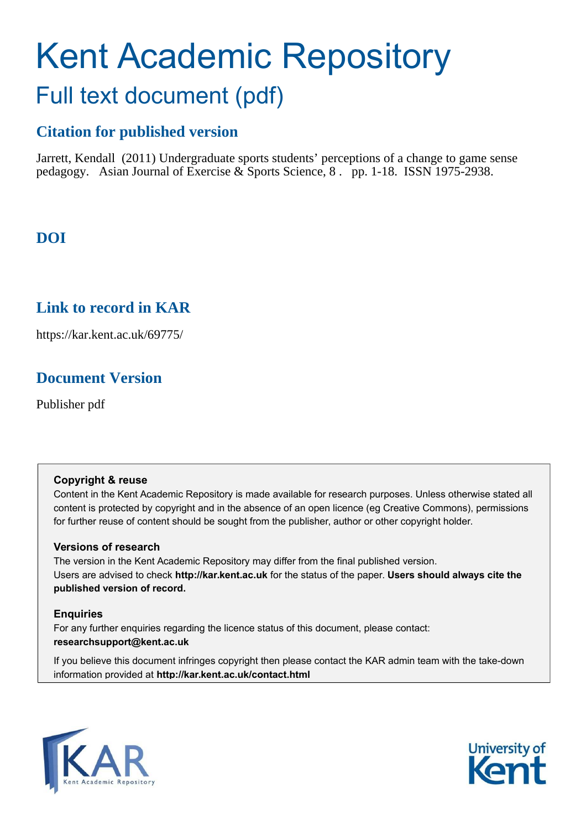# Kent Academic Repository Full text document (pdf)

# **Citation for published version**

Jarrett, Kendall (2011) Undergraduate sports students' perceptions of a change to game sense pedagogy. Asian Journal of Exercise & Sports Science, 8 . pp. 1-18. ISSN 1975-2938.

# **DOI**

## **Link to record in KAR**

https://kar.kent.ac.uk/69775/

## **Document Version**

Publisher pdf

## **Copyright & reuse**

Content in the Kent Academic Repository is made available for research purposes. Unless otherwise stated all content is protected by copyright and in the absence of an open licence (eg Creative Commons), permissions for further reuse of content should be sought from the publisher, author or other copyright holder.

## **Versions of research**

The version in the Kent Academic Repository may differ from the final published version. Users are advised to check **http://kar.kent.ac.uk** for the status of the paper. **Users should always cite the published version of record.**

## **Enquiries**

For any further enquiries regarding the licence status of this document, please contact: **researchsupport@kent.ac.uk**

If you believe this document infringes copyright then please contact the KAR admin team with the take-down information provided at **http://kar.kent.ac.uk/contact.html**



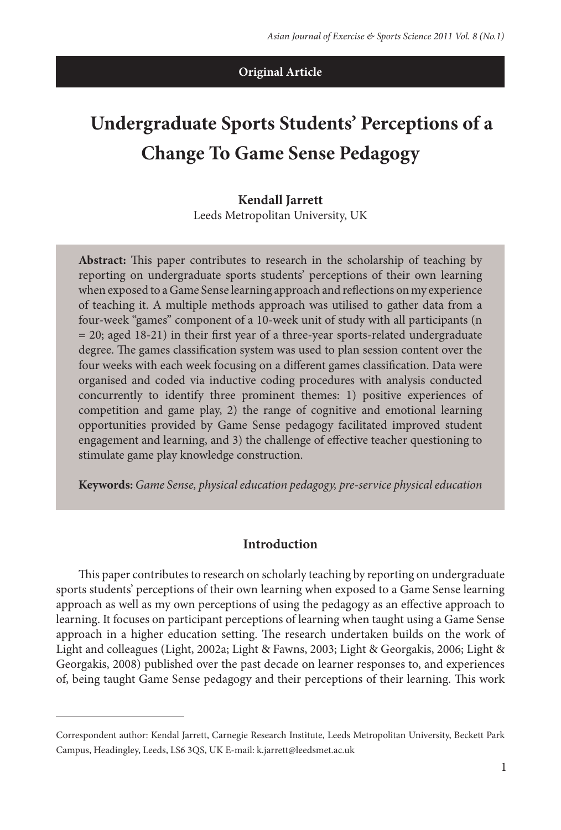#### **Original Article**

# **Undergraduate Sports Students' Perceptions of a Change To Game Sense Pedagogy**

#### **Kendall Jarrett** Leeds Metropolitan University, UK

Abstract: This paper contributes to research in the scholarship of teaching by reporting on undergraduate sports students' perceptions of their own learning when exposed to a Game Sense learning approach and relections on my experience of teaching it. A multiple methods approach was utilised to gather data from a four-week "games" component of a 10-week unit of study with all participants (n  $= 20$ ; aged 18-21) in their first year of a three-year sports-related undergraduate degree. The games classification system was used to plan session content over the four weeks with each week focusing on a different games classification. Data were organised and coded via inductive coding procedures with analysis conducted concurrently to identify three prominent themes: 1) positive experiences of competition and game play, 2) the range of cognitive and emotional learning opportunities provided by Game Sense pedagogy facilitated improved student engagement and learning, and 3) the challenge of effective teacher questioning to stimulate game play knowledge construction.

**Keywords:** Game Sense, physical education pedagogy, pre-service physical education

#### **Introduction**

his paper contributes to research on scholarly teaching by reporting on undergraduate sports students' perceptions of their own learning when exposed to a Game Sense learning approach as well as my own perceptions of using the pedagogy as an efective approach to learning. It focuses on participant perceptions of learning when taught using a Game Sense approach in a higher education setting. The research undertaken builds on the work of Light and colleagues (Light, 2002a; Light & Fawns, 2003; Light & Georgakis, 2006; Light & Georgakis, 2008) published over the past decade on learner responses to, and experiences of, being taught Game Sense pedagogy and their perceptions of their learning. This work

Correspondent author: Kendal Jarrett, Carnegie Research Institute, Leeds Metropolitan University, Beckett Park Campus, Headingley, Leeds, LS6 3QS, UK E-mail: k.jarrett@leedsmet.ac.uk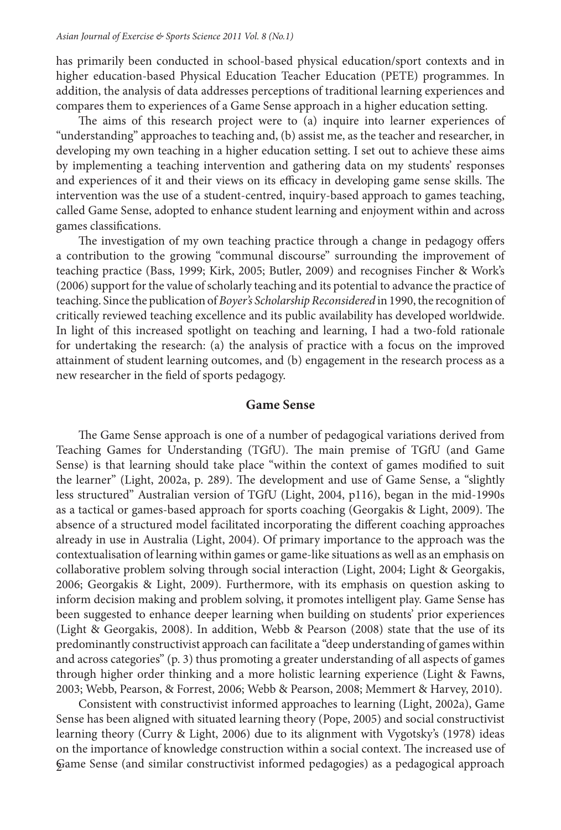has primarily been conducted in school-based physical education/sport contexts and in higher education-based Physical Education Teacher Education (PETE) programmes. In addition, the analysis of data addresses perceptions of traditional learning experiences and compares them to experiences of a Game Sense approach in a higher education setting.

he aims of this research project were to (a) inquire into learner experiences of "understanding" approaches to teaching and, (b) assist me, as the teacher and researcher, in developing my own teaching in a higher education setting. I set out to achieve these aims by implementing a teaching intervention and gathering data on my students' responses and experiences of it and their views on its efficacy in developing game sense skills. The intervention was the use of a student-centred, inquiry-based approach to games teaching, called Game Sense, adopted to enhance student learning and enjoyment within and across games classifications.

The investigation of my own teaching practice through a change in pedagogy offers a contribution to the growing "communal discourse" surrounding the improvement of teaching practice (Bass, 1999; Kirk, 2005; Butler, 2009) and recognises Fincher & Work's (2006) support for the value of scholarly teaching and its potential to advance the practice of teaching. Since the publication of Boyer's Scholarship Reconsidered in 1990, the recognition of critically reviewed teaching excellence and its public availability has developed worldwide. In light of this increased spotlight on teaching and learning, I had a two-fold rationale for undertaking the research: (a) the analysis of practice with a focus on the improved attainment of student learning outcomes, and (b) engagement in the research process as a new researcher in the field of sports pedagogy.

#### **Game Sense**

he Game Sense approach is one of a number of pedagogical variations derived from Teaching Games for Understanding (TGfU). The main premise of TGfU (and Game Sense) is that learning should take place "within the context of games modified to suit the learner" (Light, 2002a, p. 289). The development and use of Game Sense, a "slightly less structured" Australian version of TGfU (Light, 2004, p116), began in the mid-1990s as a tactical or games-based approach for sports coaching (Georgakis & Light, 2009). The absence of a structured model facilitated incorporating the diferent coaching approaches already in use in Australia (Light, 2004). Of primary importance to the approach was the contextualisation of learning within games or game-like situations as well as an emphasis on collaborative problem solving through social interaction (Light, 2004; Light & Georgakis, 2006; Georgakis & Light, 2009). Furthermore, with its emphasis on question asking to inform decision making and problem solving, it promotes intelligent play. Game Sense has been suggested to enhance deeper learning when building on students' prior experiences (Light & Georgakis, 2008). In addition, Webb & Pearson (2008) state that the use of its predominantly constructivist approach can facilitate a "deep understanding of games within and across categories" (p. 3) thus promoting a greater understanding of all aspects of games through higher order thinking and a more holistic learning experience (Light & Fawns, 2003; Webb, Pearson, & Forrest, 2006; Webb & Pearson, 2008; Memmert & Harvey, 2010).

2 Game Sense (and similar constructivist informed pedagogies) as a pedagogical approach Consistent with constructivist informed approaches to learning (Light, 2002a), Game Sense has been aligned with situated learning theory (Pope, 2005) and social constructivist learning theory (Curry & Light, 2006) due to its alignment with Vygotsky's (1978) ideas on the importance of knowledge construction within a social context. The increased use of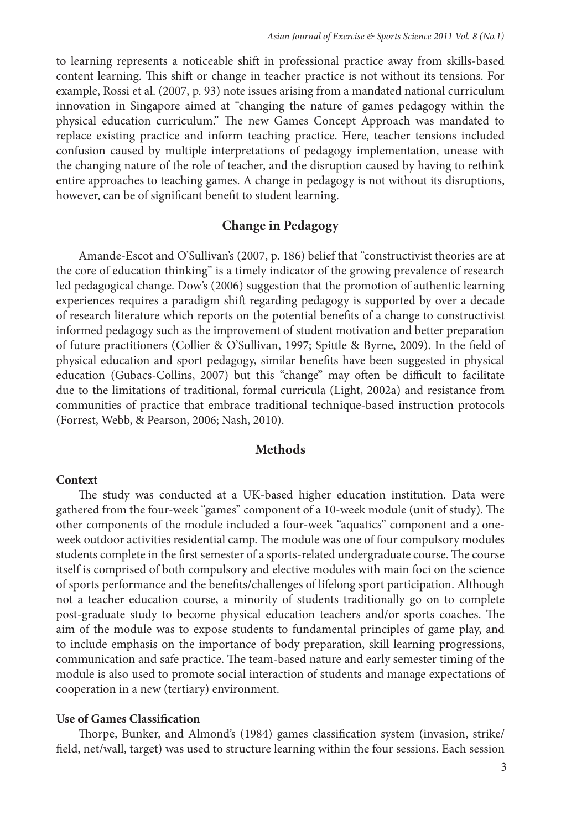to learning represents a noticeable shit in professional practice away from skills-based content learning. This shift or change in teacher practice is not without its tensions. For example, Rossi et al. (2007, p. 93) note issues arising from a mandated national curriculum innovation in Singapore aimed at "changing the nature of games pedagogy within the physical education curriculum." he new Games Concept Approach was mandated to replace existing practice and inform teaching practice. Here, teacher tensions included confusion caused by multiple interpretations of pedagogy implementation, unease with the changing nature of the role of teacher, and the disruption caused by having to rethink entire approaches to teaching games. A change in pedagogy is not without its disruptions, however, can be of significant benefit to student learning.

#### **Change in Pedagogy**

Amande-Escot and O'Sullivan's (2007, p. 186) belief that "constructivist theories are at the core of education thinking" is a timely indicator of the growing prevalence of research led pedagogical change. Dow's (2006) suggestion that the promotion of authentic learning experiences requires a paradigm shit regarding pedagogy is supported by over a decade of research literature which reports on the potential beneits of a change to constructivist informed pedagogy such as the improvement of student motivation and better preparation of future practitioners (Collier & O'Sullivan, 1997; Spittle & Byrne, 2009). In the ield of physical education and sport pedagogy, similar beneits have been suggested in physical education (Gubacs-Collins, 2007) but this "change" may often be difficult to facilitate due to the limitations of traditional, formal curricula (Light, 2002a) and resistance from communities of practice that embrace traditional technique-based instruction protocols (Forrest, Webb, & Pearson, 2006; Nash, 2010).

#### **Methods**

#### **Context**

he study was conducted at a UK-based higher education institution. Data were gathered from the four-week "games" component of a 10-week module (unit of study). The other components of the module included a four-week "aquatics" component and a oneweek outdoor activities residential camp. The module was one of four compulsory modules students complete in the first semester of a sports-related undergraduate course. The course itself is comprised of both compulsory and elective modules with main foci on the science of sports performance and the beneits/challenges of lifelong sport participation. Although not a teacher education course, a minority of students traditionally go on to complete post-graduate study to become physical education teachers and/or sports coaches. The aim of the module was to expose students to fundamental principles of game play, and to include emphasis on the importance of body preparation, skill learning progressions, communication and safe practice. he team-based nature and early semester timing of the module is also used to promote social interaction of students and manage expectations of cooperation in a new (tertiary) environment.

#### **Use of Games Classification**

Thorpe, Bunker, and Almond's (1984) games classification system (invasion, strike/ field, net/wall, target) was used to structure learning within the four sessions. Each session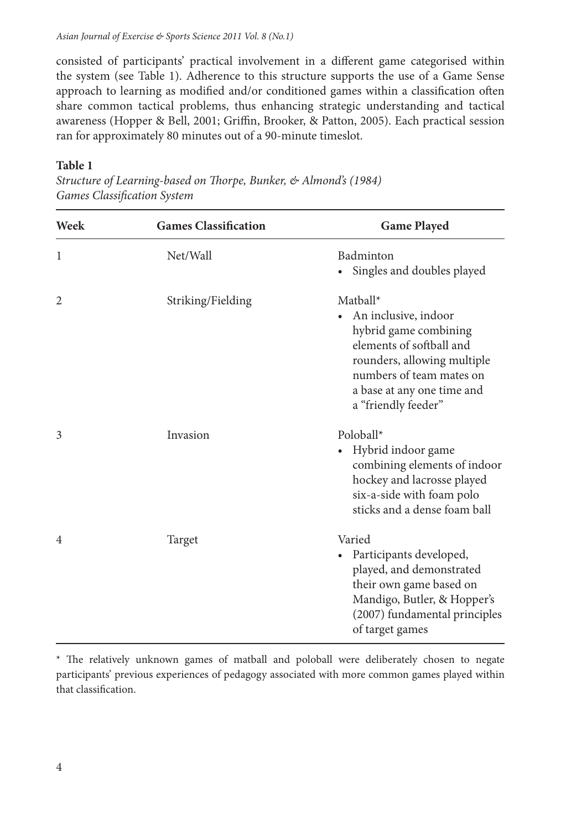consisted of participants' practical involvement in a diferent game categorised within the system (see Table 1). Adherence to this structure supports the use of a Game Sense approach to learning as modified and/or conditioned games within a classification often share common tactical problems, thus enhancing strategic understanding and tactical awareness (Hopper & Bell, 2001; Griffin, Brooker, & Patton, 2005). Each practical session ran for approximately 80 minutes out of a 90-minute timeslot.

#### **Table 1**

Structure of Learning-based on Thorpe, Bunker, & Almond's (1984) Games Classification System

| Week           | <b>Games Classification</b> | <b>Game Played</b>                                                                                                                                                                                    |
|----------------|-----------------------------|-------------------------------------------------------------------------------------------------------------------------------------------------------------------------------------------------------|
| 1              | Net/Wall                    | Badminton<br>Singles and doubles played                                                                                                                                                               |
| $\overline{2}$ | Striking/Fielding           | Matball*<br>An inclusive, indoor<br>hybrid game combining<br>elements of softball and<br>rounders, allowing multiple<br>numbers of team mates on<br>a base at any one time and<br>a "friendly feeder" |
| 3              | Invasion                    | Poloball*<br>Hybrid indoor game<br>combining elements of indoor<br>hockey and lacrosse played<br>six-a-side with foam polo<br>sticks and a dense foam ball                                            |
| 4              | Target                      | Varied<br>Participants developed,<br>played, and demonstrated<br>their own game based on<br>Mandigo, Butler, & Hopper's<br>(2007) fundamental principles<br>of target games                           |

<sup>\*</sup> he relatively unknown games of matball and poloball were deliberately chosen to negate participants' previous experiences of pedagogy associated with more common games played within that classification.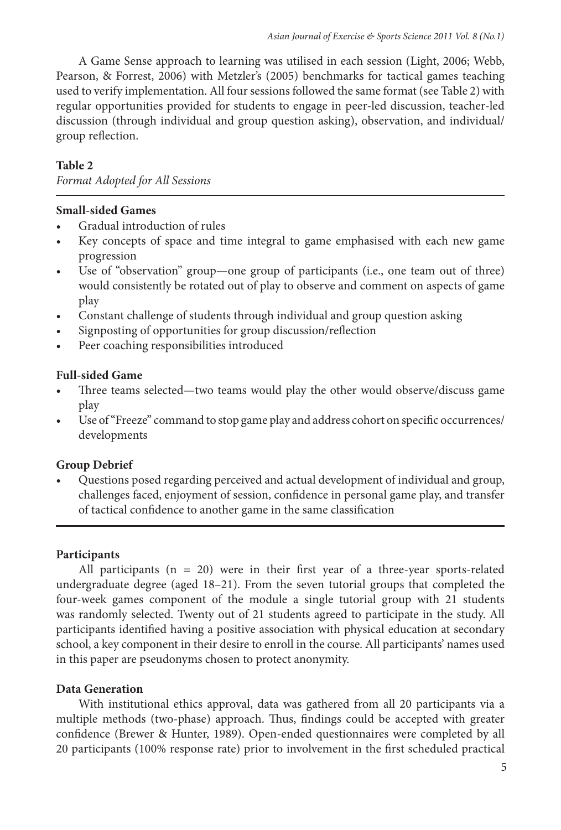A Game Sense approach to learning was utilised in each session (Light, 2006; Webb, Pearson, & Forrest, 2006) with Metzler's (2005) benchmarks for tactical games teaching used to verify implementation. All four sessions followed the same format (see Table 2) with regular opportunities provided for students to engage in peer-led discussion, teacher-led discussion (through individual and group question asking), observation, and individual/ group relection.

#### **Table 2**

Format Adopted for All Sessions

#### **Small-sided Games**

- Gradual introduction of rules
- Key concepts of space and time integral to game emphasised with each new game progression
- Use of "observation" group—one group of participants (i.e., one team out of three) would consistently be rotated out of play to observe and comment on aspects of game play
- Constant challenge of students through individual and group question asking
- Signposting of opportunities for group discussion/reflection
- Peer coaching responsibilities introduced

#### **Full-sided Game**

- Three teams selected—two teams would play the other would observe/discuss game play
- Use of "Freeze" command to stop game play and address cohort on specific occurrences/ developments

#### **Group Debrief**

Questions posed regarding perceived and actual development of individual and group, challenges faced, enjoyment of session, confidence in personal game play, and transfer of tactical confidence to another game in the same classification

#### **Participants**

All participants  $(n = 20)$  were in their first year of a three-year sports-related undergraduate degree (aged 18–21). From the seven tutorial groups that completed the four-week games component of the module a single tutorial group with 21 students was randomly selected. Twenty out of 21 students agreed to participate in the study. All participants identified having a positive association with physical education at secondary school, a key component in their desire to enroll in the course. All participants' names used in this paper are pseudonyms chosen to protect anonymity.

#### **Data Generation**

With institutional ethics approval, data was gathered from all 20 participants via a multiple methods (two-phase) approach. Thus, findings could be accepted with greater confidence (Brewer & Hunter, 1989). Open-ended questionnaires were completed by all 20 participants (100% response rate) prior to involvement in the irst scheduled practical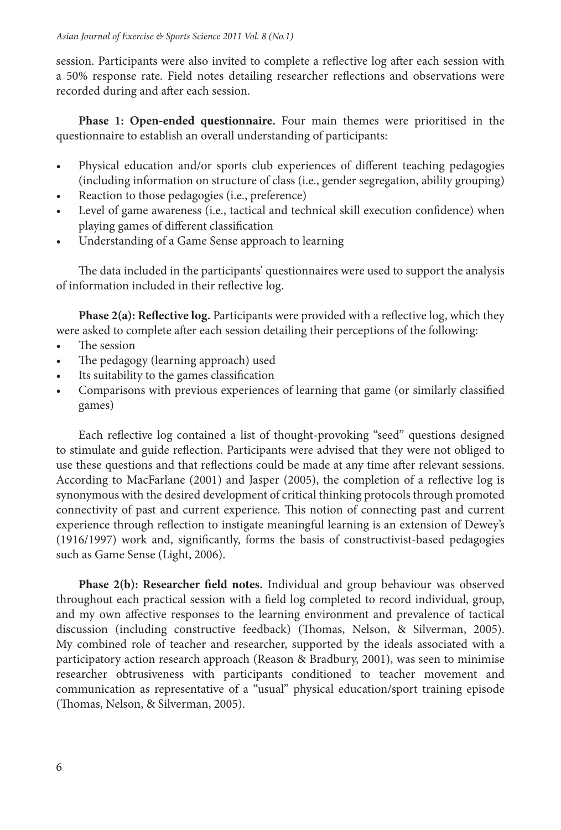session. Participants were also invited to complete a relective log ater each session with a 50% response rate. Field notes detailing researcher relections and observations were recorded during and ater each session.

**Phase 1: Open-ended questionnaire.** Four main themes were prioritised in the questionnaire to establish an overall understanding of participants:

- Physical education and/or sports club experiences of different teaching pedagogies (including information on structure of class (i.e., gender segregation, ability grouping)
- Reaction to those pedagogies (i.e., preference)
- Level of game awareness (i.e., tactical and technical skill execution confidence) when playing games of different classification
- Understanding of a Game Sense approach to learning

he data included in the participants' questionnaires were used to support the analysis of information included in their relective log.

Phase 2(a): Reflective log. Participants were provided with a reflective log, which they were asked to complete after each session detailing their perceptions of the following:

- The session
- The pedagogy (learning approach) used
- Its suitability to the games classification
- Comparisons with previous experiences of learning that game (or similarly classified games)

Each reflective log contained a list of thought-provoking "seed" questions designed to stimulate and guide relection. Participants were advised that they were not obliged to use these questions and that relections could be made at any time ater relevant sessions. According to MacFarlane (2001) and Jasper (2005), the completion of a relective log is synonymous with the desired development of critical thinking protocols through promoted connectivity of past and current experience. his notion of connecting past and current experience through relection to instigate meaningful learning is an extension of Dewey's (1916/1997) work and, signiicantly, forms the basis of constructivist-based pedagogies such as Game Sense (Light, 2006).

**Phase 2(b): Researcher field notes.** Individual and group behaviour was observed throughout each practical session with a ield log completed to record individual, group, and my own afective responses to the learning environment and prevalence of tactical discussion (including constructive feedback) (Thomas, Nelson, & Silverman, 2005). My combined role of teacher and researcher, supported by the ideals associated with a participatory action research approach (Reason & Bradbury, 2001), was seen to minimise researcher obtrusiveness with participants conditioned to teacher movement and communication as representative of a "usual" physical education/sport training episode (homas, Nelson, & Silverman, 2005).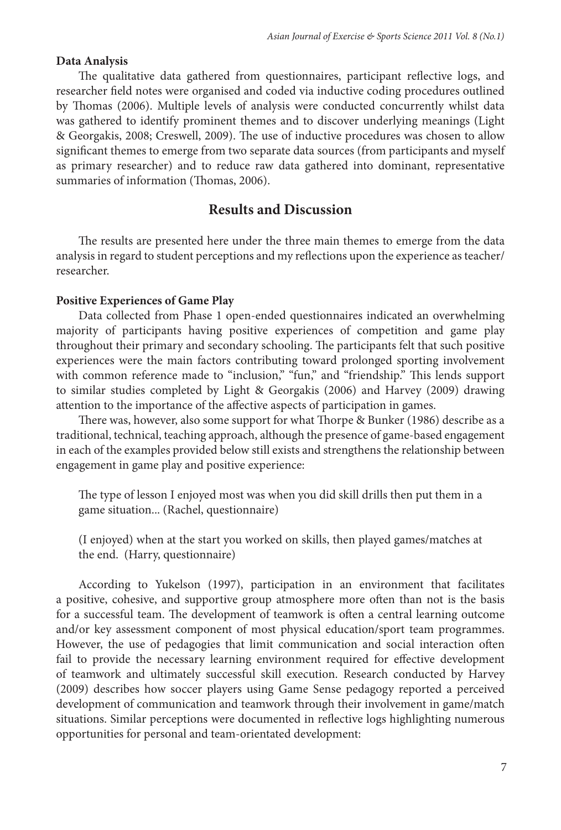#### **Data Analysis**

he qualitative data gathered from questionnaires, participant relective logs, and researcher field notes were organised and coded via inductive coding procedures outlined by Thomas (2006). Multiple levels of analysis were conducted concurrently whilst data was gathered to identify prominent themes and to discover underlying meanings (Light & Georgakis, 2008; Creswell, 2009). The use of inductive procedures was chosen to allow significant themes to emerge from two separate data sources (from participants and myself as primary researcher) and to reduce raw data gathered into dominant, representative summaries of information (Thomas, 2006).

#### **Results and Discussion**

he results are presented here under the three main themes to emerge from the data analysis in regard to student perceptions and my relections upon the experience as teacher/ researcher.

#### **Positive Experiences of Game Play**

Data collected from Phase 1 open-ended questionnaires indicated an overwhelming majority of participants having positive experiences of competition and game play throughout their primary and secondary schooling. The participants felt that such positive experiences were the main factors contributing toward prolonged sporting involvement with common reference made to "inclusion," "fun," and "friendship." This lends support to similar studies completed by Light & Georgakis (2006) and Harvey (2009) drawing attention to the importance of the afective aspects of participation in games.

There was, however, also some support for what Thorpe & Bunker (1986) describe as a traditional, technical, teaching approach, although the presence of game-based engagement in each of the examples provided below still exists and strengthens the relationship between engagement in game play and positive experience:

he type of lesson I enjoyed most was when you did skill drills then put them in a game situation... (Rachel, questionnaire)

(I enjoyed) when at the start you worked on skills, then played games/matches at the end. (Harry, questionnaire)

According to Yukelson (1997), participation in an environment that facilitates a positive, cohesive, and supportive group atmosphere more oten than not is the basis for a successful team. The development of teamwork is often a central learning outcome and/or key assessment component of most physical education/sport team programmes. However, the use of pedagogies that limit communication and social interaction oten fail to provide the necessary learning environment required for efective development of teamwork and ultimately successful skill execution. Research conducted by Harvey (2009) describes how soccer players using Game Sense pedagogy reported a perceived development of communication and teamwork through their involvement in game/match situations. Similar perceptions were documented in relective logs highlighting numerous opportunities for personal and team-orientated development: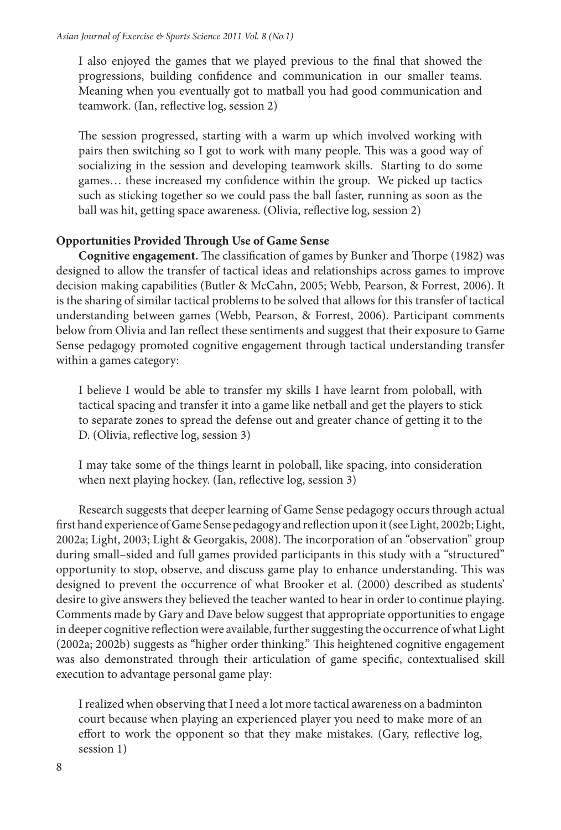I also enjoyed the games that we played previous to the inal that showed the progressions, building confidence and communication in our smaller teams. Meaning when you eventually got to matball you had good communication and teamwork. (Ian, relective log, session 2)

The session progressed, starting with a warm up which involved working with pairs then switching so I got to work with many people. This was a good way of socializing in the session and developing teamwork skills. Starting to do some games... these increased my confidence within the group. We picked up tactics such as sticking together so we could pass the ball faster, running as soon as the ball was hit, getting space awareness. (Olivia, relective log, session 2)

#### **Opportunities Provided Through Use of Game Sense**

**Cognitive engagement.** The classification of games by Bunker and Thorpe (1982) was designed to allow the transfer of tactical ideas and relationships across games to improve decision making capabilities (Butler & McCahn, 2005; Webb, Pearson, & Forrest, 2006). It is the sharing of similar tactical problems to be solved that allows for this transfer of tactical understanding between games (Webb, Pearson, & Forrest, 2006). Participant comments below from Olivia and Ian relect these sentiments and suggest that their exposure to Game Sense pedagogy promoted cognitive engagement through tactical understanding transfer within a games category:

I believe I would be able to transfer my skills I have learnt from poloball, with tactical spacing and transfer it into a game like netball and get the players to stick to separate zones to spread the defense out and greater chance of getting it to the D. (Olivia, relective log, session 3)

I may take some of the things learnt in poloball, like spacing, into consideration when next playing hockey. (Ian, reflective log, session 3)

Research suggests that deeper learning of Game Sense pedagogy occurs through actual first hand experience of Game Sense pedagogy and reflection upon it (see Light, 2002b; Light, 2002a; Light, 2003; Light & Georgakis, 2008). he incorporation of an "observation" group during small–sided and full games provided participants in this study with a "structured" opportunity to stop, observe, and discuss game play to enhance understanding. This was designed to prevent the occurrence of what Brooker et al. (2000) described as students' desire to give answers they believed the teacher wanted to hear in order to continue playing. Comments made by Gary and Dave below suggest that appropriate opportunities to engage in deeper cognitive relection were available, further suggesting the occurrence of what Light (2002a; 2002b) suggests as "higher order thinking." his heightened cognitive engagement was also demonstrated through their articulation of game specific, contextualised skill execution to advantage personal game play:

I realized when observing that I need a lot more tactical awareness on a badminton court because when playing an experienced player you need to make more of an effort to work the opponent so that they make mistakes. (Gary, reflective log, session 1)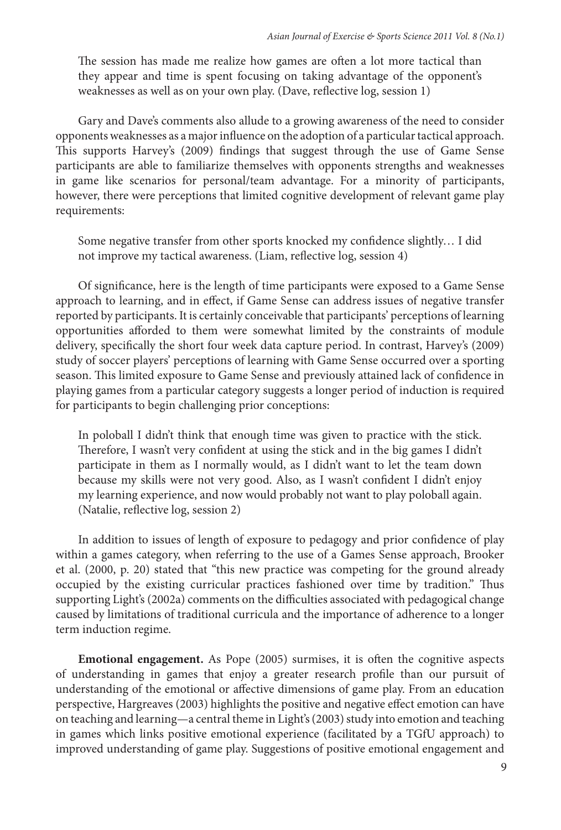The session has made me realize how games are often a lot more tactical than they appear and time is spent focusing on taking advantage of the opponent's weaknesses as well as on your own play. (Dave, relective log, session 1)

Gary and Dave's comments also allude to a growing awareness of the need to consider opponents weaknesses as a major inluence on the adoption of a particular tactical approach. This supports Harvey's (2009) findings that suggest through the use of Game Sense participants are able to familiarize themselves with opponents strengths and weaknesses in game like scenarios for personal/team advantage. For a minority of participants, however, there were perceptions that limited cognitive development of relevant game play requirements:

Some negative transfer from other sports knocked my confidence slightly... I did not improve my tactical awareness. (Liam, relective log, session 4)

Of significance, here is the length of time participants were exposed to a Game Sense approach to learning, and in efect, if Game Sense can address issues of negative transfer reported by participants. It is certainly conceivable that participants' perceptions of learning opportunities aforded to them were somewhat limited by the constraints of module delivery, specifically the short four week data capture period. In contrast, Harvey's (2009) study of soccer players' perceptions of learning with Game Sense occurred over a sporting season. This limited exposure to Game Sense and previously attained lack of confidence in playing games from a particular category suggests a longer period of induction is required for participants to begin challenging prior conceptions:

In poloball I didn't think that enough time was given to practice with the stick. Therefore, I wasn't very confident at using the stick and in the big games I didn't participate in them as I normally would, as I didn't want to let the team down because my skills were not very good. Also, as I wasn't confident I didn't enjoy my learning experience, and now would probably not want to play poloball again. (Natalie, relective log, session 2)

In addition to issues of length of exposure to pedagogy and prior conidence of play within a games category, when referring to the use of a Games Sense approach, Brooker et al. (2000, p. 20) stated that "this new practice was competing for the ground already occupied by the existing curricular practices fashioned over time by tradition." hus supporting Light's (2002a) comments on the difficulties associated with pedagogical change caused by limitations of traditional curricula and the importance of adherence to a longer term induction regime.

**Emotional engagement.** As Pope (2005) surmises, it is oten the cognitive aspects of understanding in games that enjoy a greater research profile than our pursuit of understanding of the emotional or afective dimensions of game play. From an education perspective, Hargreaves (2003) highlights the positive and negative efect emotion can have on teaching and learning—a central theme in Light's (2003) study into emotion and teaching in games which links positive emotional experience (facilitated by a TGfU approach) to improved understanding of game play. Suggestions of positive emotional engagement and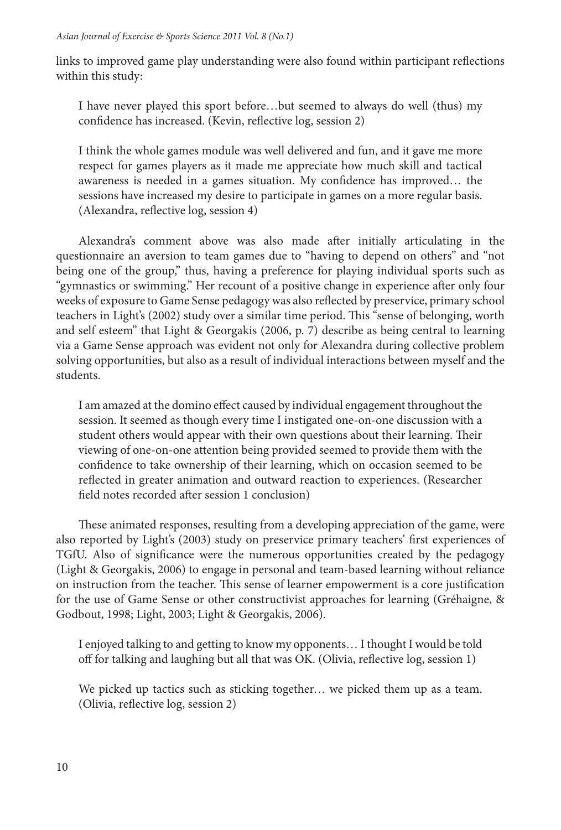links to improved game play understanding were also found within participant relections within this study:

I have never played this sport before…but seemed to always do well (thus) my confidence has increased. (Kevin, reflective log, session 2)

I think the whole games module was well delivered and fun, and it gave me more respect for games players as it made me appreciate how much skill and tactical awareness is needed in a games situation. My confidence has improved... the sessions have increased my desire to participate in games on a more regular basis. (Alexandra, relective log, session 4)

Alexandra's comment above was also made ater initially articulating in the questionnaire an aversion to team games due to "having to depend on others" and "not being one of the group," thus, having a preference for playing individual sports such as "gymnastics or swimming." Her recount of a positive change in experience ater only four weeks of exposure to Game Sense pedagogy was also relected by preservice, primary school teachers in Light's (2002) study over a similar time period. This "sense of belonging, worth and self esteem" that Light & Georgakis (2006, p. 7) describe as being central to learning via a Game Sense approach was evident not only for Alexandra during collective problem solving opportunities, but also as a result of individual interactions between myself and the students.

I am amazed at the domino efect caused by individual engagement throughout the session. It seemed as though every time I instigated one-on-one discussion with a student others would appear with their own questions about their learning. Their viewing of one-on-one attention being provided seemed to provide them with the confidence to take ownership of their learning, which on occasion seemed to be relected in greater animation and outward reaction to experiences. (Researcher field notes recorded after session 1 conclusion)

hese animated responses, resulting from a developing appreciation of the game, were also reported by Light's (2003) study on preservice primary teachers' irst experiences of TGfU. Also of significance were the numerous opportunities created by the pedagogy (Light & Georgakis, 2006) to engage in personal and team-based learning without reliance on instruction from the teacher. This sense of learner empowerment is a core justification for the use of Game Sense or other constructivist approaches for learning (Gréhaigne, & Godbout, 1998; Light, 2003; Light & Georgakis, 2006).

I enjoyed talking to and getting to know my opponents… I thought I would be told off for talking and laughing but all that was OK. (Olivia, reflective log, session 1)

We picked up tactics such as sticking together… we picked them up as a team. (Olivia, relective log, session 2)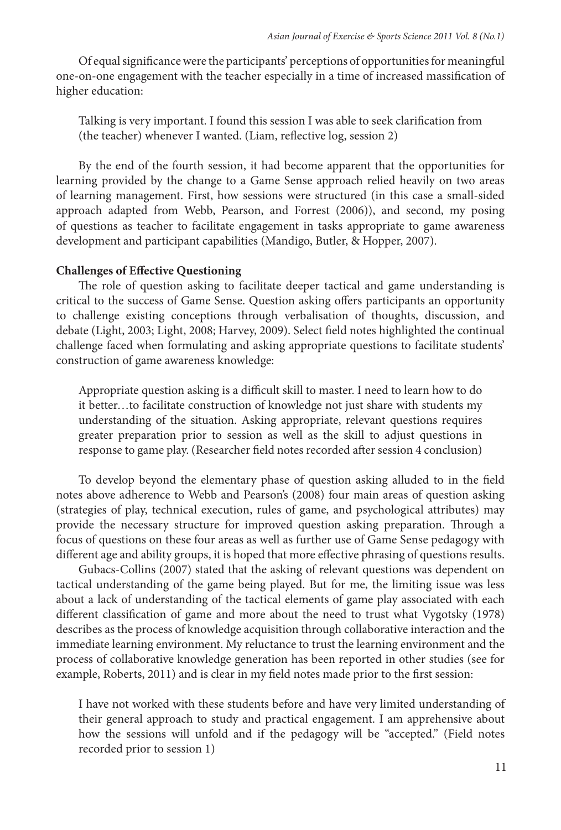Of equal signiicance were the participants' perceptions of opportunities for meaningful one-on-one engagement with the teacher especially in a time of increased massiication of higher education:

Talking is very important. I found this session I was able to seek clariication from (the teacher) whenever I wanted. (Liam, relective log, session 2)

By the end of the fourth session, it had become apparent that the opportunities for learning provided by the change to a Game Sense approach relied heavily on two areas of learning management. First, how sessions were structured (in this case a small-sided approach adapted from Webb, Pearson, and Forrest (2006)), and second, my posing of questions as teacher to facilitate engagement in tasks appropriate to game awareness development and participant capabilities (Mandigo, Butler, & Hopper, 2007).

#### **Challenges of Efective Questioning**

he role of question asking to facilitate deeper tactical and game understanding is critical to the success of Game Sense. Question asking ofers participants an opportunity to challenge existing conceptions through verbalisation of thoughts, discussion, and debate (Light, 2003; Light, 2008; Harvey, 2009). Select ield notes highlighted the continual challenge faced when formulating and asking appropriate questions to facilitate students' construction of game awareness knowledge:

Appropriate question asking is a difficult skill to master. I need to learn how to do it better…to facilitate construction of knowledge not just share with students my understanding of the situation. Asking appropriate, relevant questions requires greater preparation prior to session as well as the skill to adjust questions in response to game play. (Researcher field notes recorded after session 4 conclusion)

To develop beyond the elementary phase of question asking alluded to in the ield notes above adherence to Webb and Pearson's (2008) four main areas of question asking (strategies of play, technical execution, rules of game, and psychological attributes) may provide the necessary structure for improved question asking preparation. hrough a focus of questions on these four areas as well as further use of Game Sense pedagogy with diferent age and ability groups, it is hoped that more efective phrasing of questions results.

Gubacs-Collins (2007) stated that the asking of relevant questions was dependent on tactical understanding of the game being played. But for me, the limiting issue was less about a lack of understanding of the tactical elements of game play associated with each diferent classiication of game and more about the need to trust what Vygotsky (1978) describes as the process of knowledge acquisition through collaborative interaction and the immediate learning environment. My reluctance to trust the learning environment and the process of collaborative knowledge generation has been reported in other studies (see for example, Roberts, 2011) and is clear in my field notes made prior to the first session:

I have not worked with these students before and have very limited understanding of their general approach to study and practical engagement. I am apprehensive about how the sessions will unfold and if the pedagogy will be "accepted." (Field notes recorded prior to session 1)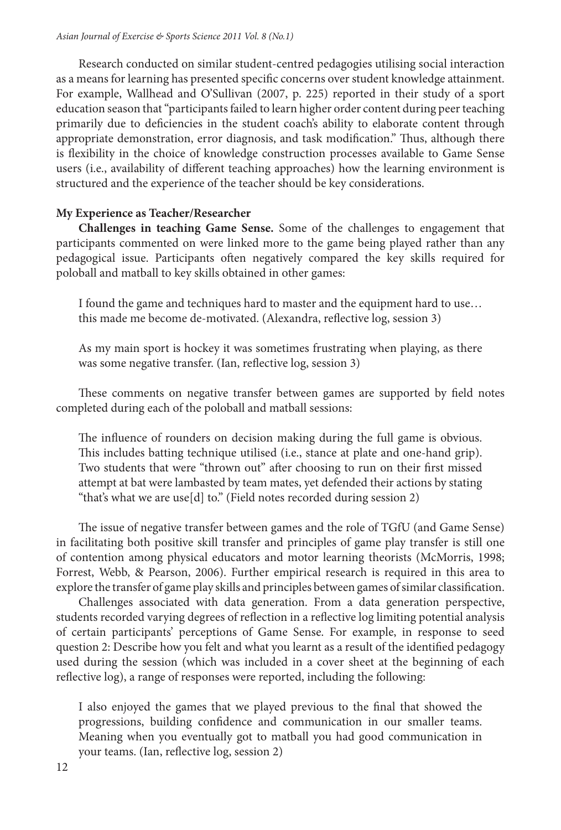Research conducted on similar student-centred pedagogies utilising social interaction as a means for learning has presented speciic concerns over student knowledge attainment. For example, Wallhead and O'Sullivan (2007, p. 225) reported in their study of a sport education season that "participants failed to learn higher order content during peer teaching primarily due to deficiencies in the student coach's ability to elaborate content through appropriate demonstration, error diagnosis, and task modification." Thus, although there is lexibility in the choice of knowledge construction processes available to Game Sense users (i.e., availability of diferent teaching approaches) how the learning environment is structured and the experience of the teacher should be key considerations.

#### **My Experience as Teacher/Researcher**

**Challenges in teaching Game Sense.** Some of the challenges to engagement that participants commented on were linked more to the game being played rather than any pedagogical issue. Participants oten negatively compared the key skills required for poloball and matball to key skills obtained in other games:

I found the game and techniques hard to master and the equipment hard to use… this made me become de-motivated. (Alexandra, relective log, session 3)

As my main sport is hockey it was sometimes frustrating when playing, as there was some negative transfer. (Ian, relective log, session 3)

These comments on negative transfer between games are supported by field notes completed during each of the poloball and matball sessions:

The influence of rounders on decision making during the full game is obvious. his includes batting technique utilised (i.e., stance at plate and one-hand grip). Two students that were "thrown out" ater choosing to run on their irst missed attempt at bat were lambasted by team mates, yet defended their actions by stating "that's what we are use[d] to." (Field notes recorded during session 2)

he issue of negative transfer between games and the role of TGfU (and Game Sense) in facilitating both positive skill transfer and principles of game play transfer is still one of contention among physical educators and motor learning theorists (McMorris, 1998; Forrest, Webb, & Pearson, 2006). Further empirical research is required in this area to explore the transfer of game play skills and principles between games of similar classification.

Challenges associated with data generation. From a data generation perspective, students recorded varying degrees of relection in a relective log limiting potential analysis of certain participants' perceptions of Game Sense. For example, in response to seed question 2: Describe how you felt and what you learnt as a result of the identified pedagogy used during the session (which was included in a cover sheet at the beginning of each relective log), a range of responses were reported, including the following:

I also enjoyed the games that we played previous to the inal that showed the progressions, building confidence and communication in our smaller teams. Meaning when you eventually got to matball you had good communication in your teams. (Ian, relective log, session 2)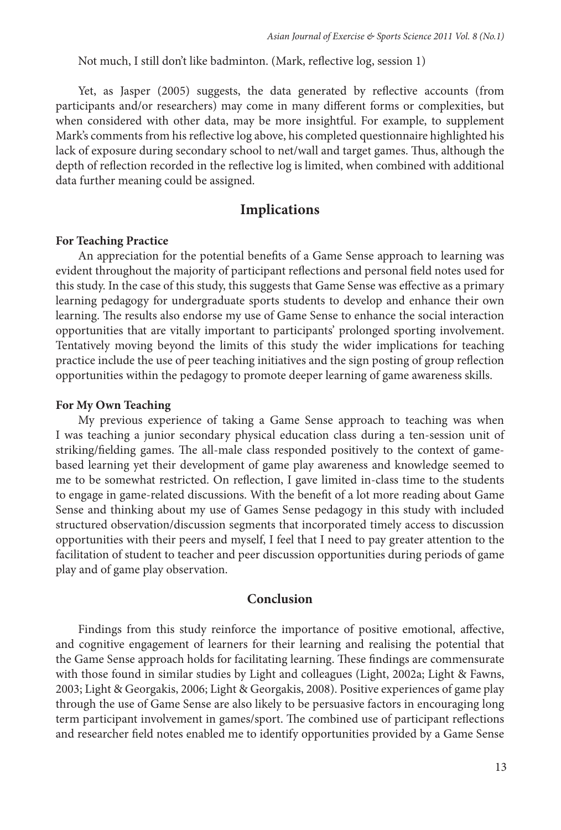Not much, I still don't like badminton. (Mark, relective log, session 1)

Yet, as Jasper (2005) suggests, the data generated by reflective accounts (from participants and/or researchers) may come in many diferent forms or complexities, but when considered with other data, may be more insightful. For example, to supplement Mark's comments from his relective log above, his completed questionnaire highlighted his lack of exposure during secondary school to net/wall and target games. Thus, although the depth of relection recorded in the relective log is limited, when combined with additional data further meaning could be assigned.

#### **Implications**

#### **For Teaching Practice**

An appreciation for the potential benefits of a Game Sense approach to learning was evident throughout the majority of participant relections and personal ield notes used for this study. In the case of this study, this suggests that Game Sense was efective as a primary learning pedagogy for undergraduate sports students to develop and enhance their own learning. The results also endorse my use of Game Sense to enhance the social interaction opportunities that are vitally important to participants' prolonged sporting involvement. Tentatively moving beyond the limits of this study the wider implications for teaching practice include the use of peer teaching initiatives and the sign posting of group relection opportunities within the pedagogy to promote deeper learning of game awareness skills.

#### **For My Own Teaching**

My previous experience of taking a Game Sense approach to teaching was when I was teaching a junior secondary physical education class during a ten-session unit of striking/fielding games. The all-male class responded positively to the context of gamebased learning yet their development of game play awareness and knowledge seemed to me to be somewhat restricted. On relection, I gave limited in-class time to the students to engage in game-related discussions. With the benefit of a lot more reading about Game Sense and thinking about my use of Games Sense pedagogy in this study with included structured observation/discussion segments that incorporated timely access to discussion opportunities with their peers and myself, I feel that I need to pay greater attention to the facilitation of student to teacher and peer discussion opportunities during periods of game play and of game play observation.

#### **Conclusion**

Findings from this study reinforce the importance of positive emotional, affective, and cognitive engagement of learners for their learning and realising the potential that the Game Sense approach holds for facilitating learning. These findings are commensurate with those found in similar studies by Light and colleagues (Light, 2002a; Light & Fawns, 2003; Light & Georgakis, 2006; Light & Georgakis, 2008). Positive experiences of game play through the use of Game Sense are also likely to be persuasive factors in encouraging long term participant involvement in games/sport. The combined use of participant reflections and researcher ield notes enabled me to identify opportunities provided by a Game Sense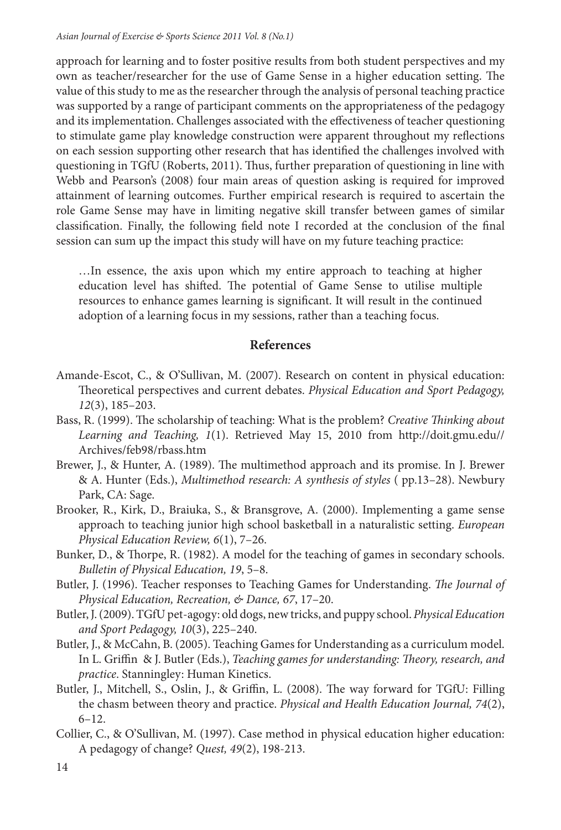approach for learning and to foster positive results from both student perspectives and my own as teacher/researcher for the use of Game Sense in a higher education setting. The value of this study to me as the researcher through the analysis of personal teaching practice was supported by a range of participant comments on the appropriateness of the pedagogy and its implementation. Challenges associated with the efectiveness of teacher questioning to stimulate game play knowledge construction were apparent throughout my relections on each session supporting other research that has identiied the challenges involved with questioning in TGfU (Roberts, 2011). Thus, further preparation of questioning in line with Webb and Pearson's (2008) four main areas of question asking is required for improved attainment of learning outcomes. Further empirical research is required to ascertain the role Game Sense may have in limiting negative skill transfer between games of similar classiication. Finally, the following ield note I recorded at the conclusion of the inal session can sum up the impact this study will have on my future teaching practice:

…In essence, the axis upon which my entire approach to teaching at higher education level has shifted. The potential of Game Sense to utilise multiple resources to enhance games learning is significant. It will result in the continued adoption of a learning focus in my sessions, rather than a teaching focus.

#### **References**

- Amande-Escot, C., & O'Sullivan, M. (2007). Research on content in physical education: heoretical perspectives and current debates. Physical Education and Sport Pedagogy, 12(3), 185–203.
- Bass, R. (1999). The scholarship of teaching: What is the problem? Creative Thinking about Learning and Teaching, 1(1). Retrieved May 15, 2010 from http://doit.gmu.edu// Archives/feb98/rbass.htm
- Brewer, J., & Hunter, A. (1989). The multimethod approach and its promise. In J. Brewer & A. Hunter (Eds.), Multimethod research: A synthesis of styles ( pp.13–28). Newbury Park, CA: Sage.
- Brooker, R., Kirk, D., Braiuka, S., & Bransgrove, A. (2000). Implementing a game sense approach to teaching junior high school basketball in a naturalistic setting. European Physical Education Review, 6(1), 7–26.
- Bunker, D., & Thorpe, R. (1982). A model for the teaching of games in secondary schools. Bulletin of Physical Education, 19, 5–8.
- Butler, J. (1996). Teacher responses to Teaching Games for Understanding. The Journal of Physical Education, Recreation, & Dance, 67, 17–20.
- Butler, J. (2009). TGfU pet-agogy: old dogs, new tricks, and puppy school. Physical Education and Sport Pedagogy, 10(3), 225–240.
- Butler, J., & McCahn, B. (2005). Teaching Games for Understanding as a curriculum model. In L. Griffin & J. Butler (Eds.), Teaching games for understanding: Theory, research, and practice. Stanningley: Human Kinetics.
- Butler, J., Mitchell, S., Oslin, J., & Griffin, L. (2008). The way forward for TGfU: Filling the chasm between theory and practice. Physical and Health Education Journal, 74(2), 6–12.
- Collier, C., & O'Sullivan, M. (1997). Case method in physical education higher education: A pedagogy of change? Quest, 49(2), 198-213.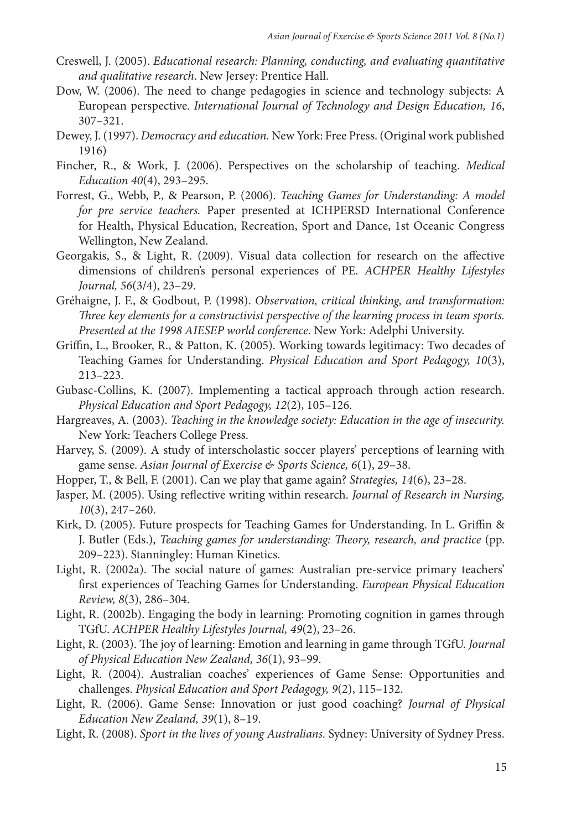- Creswell, J. (2005). Educational research: Planning, conducting, and evaluating quantitative and qualitative research. New Jersey: Prentice Hall.
- Dow, W. (2006). The need to change pedagogies in science and technology subjects: A European perspective. International Journal of Technology and Design Education, 16, 307–321.
- Dewey, J. (1997). Democracy and education. New York: Free Press. (Original work published 1916)
- Fincher, R., & Work, J. (2006). Perspectives on the scholarship of teaching. Medical Education 40(4), 293–295.
- Forrest, G., Webb, P., & Pearson, P. (2006). Teaching Games for Understanding: A model for pre service teachers. Paper presented at ICHPERSD International Conference for Health, Physical Education, Recreation, Sport and Dance, 1st Oceanic Congress Wellington, New Zealand.
- Georgakis, S., & Light, R. (2009). Visual data collection for research on the afective dimensions of children's personal experiences of PE. ACHPER Healthy Lifestyles Journal, 56(3/4), 23–29.
- Gréhaigne, J. F., & Godbout, P. (1998). Observation, critical thinking, and transformation: hree key elements for a constructivist perspective of the learning process in team sports. Presented at the 1998 AIESEP world conference. New York: Adelphi University.
- Griffin, L., Brooker, R., & Patton, K. (2005). Working towards legitimacy: Two decades of Teaching Games for Understanding. Physical Education and Sport Pedagogy, 10(3), 213–223.
- Gubasc-Collins, K. (2007). Implementing a tactical approach through action research. Physical Education and Sport Pedagogy, 12(2), 105–126.
- Hargreaves, A. (2003). Teaching in the knowledge society: Education in the age of insecurity. New York: Teachers College Press.
- Harvey, S. (2009). A study of interscholastic soccer players' perceptions of learning with game sense. Asian Journal of Exercise & Sports Science, 6(1), 29-38.
- Hopper, T., & Bell, F. (2001). Can we play that game again? Strategies, 14(6), 23–28.
- Jasper, M. (2005). Using reflective writing within research. Journal of Research in Nursing, 10(3), 247–260.
- Kirk, D. (2005). Future prospects for Teaching Games for Understanding. In L. Griffin & J. Butler (Eds.), Teaching games for understanding: Theory, research, and practice (pp. 209–223). Stanningley: Human Kinetics.
- Light, R. (2002a). The social nature of games: Australian pre-service primary teachers' first experiences of Teaching Games for Understanding. European Physical Education Review, 8(3), 286–304.
- Light, R. (2002b). Engaging the body in learning: Promoting cognition in games through TGfU. ACHPER Healthy Lifestyles Journal, 49(2), 23–26.
- Light, R. (2003). The joy of learning: Emotion and learning in game through TGfU. Journal of Physical Education New Zealand, 36(1), 93–99.
- Light, R. (2004). Australian coaches' experiences of Game Sense: Opportunities and challenges. Physical Education and Sport Pedagogy, 9(2), 115–132.
- Light, R. (2006). Game Sense: Innovation or just good coaching? Journal of Physical Education New Zealand, 39(1), 8–19.
- Light, R. (2008). Sport in the lives of young Australians. Sydney: University of Sydney Press.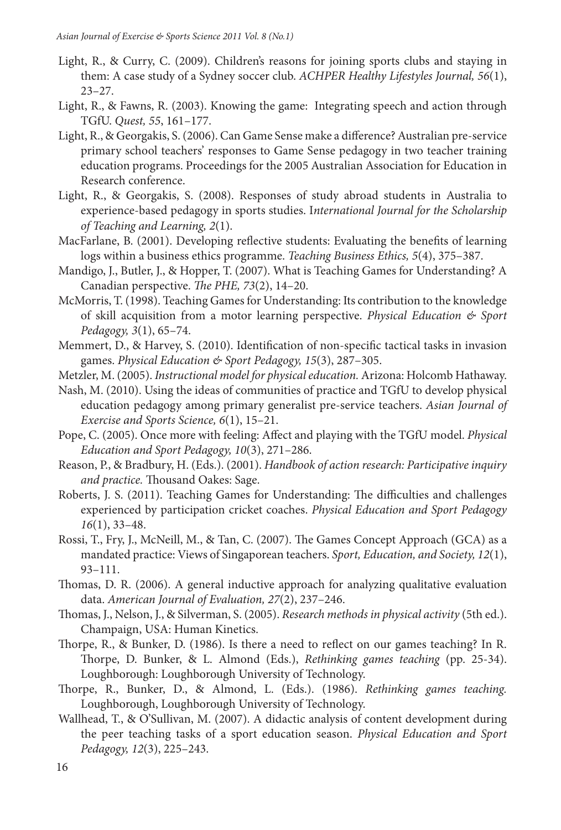- Light, R., & Curry, C. (2009). Children's reasons for joining sports clubs and staying in them: A case study of a Sydney soccer club. ACHPER Healthy Lifestyles Journal, 56(1), 23–27.
- Light, R., & Fawns, R. (2003). Knowing the game: Integrating speech and action through TGfU. Quest, 55, 161–177.
- Light, R., & Georgakis, S. (2006). Can Game Sense make a diference? Australian pre-service primary school teachers' responses to Game Sense pedagogy in two teacher training education programs. Proceedings for the 2005 Australian Association for Education in Research conference.
- Light, R., & Georgakis, S. (2008). Responses of study abroad students in Australia to experience-based pedagogy in sports studies. International Journal for the Scholarship of Teaching and Learning, 2(1).
- MacFarlane, B. (2001). Developing relective students: Evaluating the beneits of learning logs within a business ethics programme. Teaching Business Ethics, 5(4), 375–387.
- Mandigo, J., Butler, J., & Hopper, T. (2007). What is Teaching Games for Understanding? A Canadian perspective. The PHE, 73(2), 14-20.
- McMorris, T. (1998). Teaching Games for Understanding: Its contribution to the knowledge of skill acquisition from a motor learning perspective. *Physical Education*  $\mathcal{L}$  Sport Pedagogy, 3(1), 65–74.
- Memmert, D., & Harvey, S. (2010). Identification of non-specific tactical tasks in invasion games. Physical Education & Sport Pedagogy, 15(3), 287–305.
- Metzler, M. (2005). Instructional model for physical education. Arizona: Holcomb Hathaway.
- Nash, M. (2010). Using the ideas of communities of practice and TGfU to develop physical education pedagogy among primary generalist pre-service teachers. Asian Journal of Exercise and Sports Science, 6(1), 15–21.
- Pope, C. (2005). Once more with feeling: Afect and playing with the TGfU model. Physical Education and Sport Pedagogy, 10(3), 271–286.
- Reason, P., & Bradbury, H. (Eds.). (2001). Handbook of action research: Participative inquiry and practice. Thousand Oakes: Sage.
- Roberts, J. S. (2011). Teaching Games for Understanding: The difficulties and challenges experienced by participation cricket coaches. Physical Education and Sport Pedagogy 16(1), 33–48.
- Rossi, T., Fry, J., McNeill, M., & Tan, C. (2007). The Games Concept Approach (GCA) as a mandated practice: Views of Singaporean teachers. Sport, Education, and Society, 12(1), 93–111.
- homas, D. R. (2006). A general inductive approach for analyzing qualitative evaluation data. American Journal of Evaluation, 27(2), 237–246.
- Thomas, J., Nelson, J., & Silverman, S. (2005). Research methods in physical activity (5th ed.). Champaign, USA: Human Kinetics.
- horpe, R., & Bunker, D. (1986). Is there a need to relect on our games teaching? In R. horpe, D. Bunker, & L. Almond (Eds.), Rethinking games teaching (pp. 25-34). Loughborough: Loughborough University of Technology.
- horpe, R., Bunker, D., & Almond, L. (Eds.). (1986). Rethinking games teaching. Loughborough, Loughborough University of Technology.
- Wallhead, T., & O'Sullivan, M. (2007). A didactic analysis of content development during the peer teaching tasks of a sport education season. Physical Education and Sport Pedagogy, 12(3), 225–243.